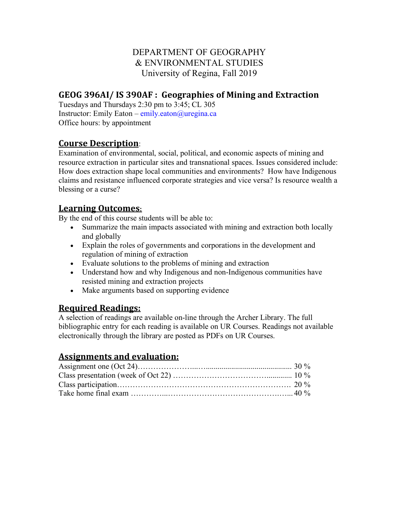# DEPARTMENT OF GEOGRAPHY & ENVIRONMENTAL STUDIES University of Regina, Fall 2019

# **GEOG 396AI/ IS 390AF : Geographies of Mining and Extraction**

Tuesdays and Thursdays 2:30 pm to 3:45; CL 305 Instructor: Emily Eaton – emily.eaton@uregina.ca Office hours: by appointment

### **Course Description**:

Examination of environmental, social, political, and economic aspects of mining and resource extraction in particular sites and transnational spaces. Issues considered include: How does extraction shape local communities and environments? How have Indigenous claims and resistance influenced corporate strategies and vice versa? Is resource wealth a blessing or a curse?

## **Learning Outcomes:**

By the end of this course students will be able to:

- Summarize the main impacts associated with mining and extraction both locally and globally
- Explain the roles of governments and corporations in the development and regulation of mining of extraction
- Evaluate solutions to the problems of mining and extraction
- Understand how and why Indigenous and non-Indigenous communities have resisted mining and extraction projects
- Make arguments based on supporting evidence

## **Required Readings:**

A selection of readings are available on-line through the Archer Library. The full bibliographic entry for each reading is available on UR Courses. Readings not available electronically through the library are posted as PDFs on UR Courses.

## **Assignments and evaluation:**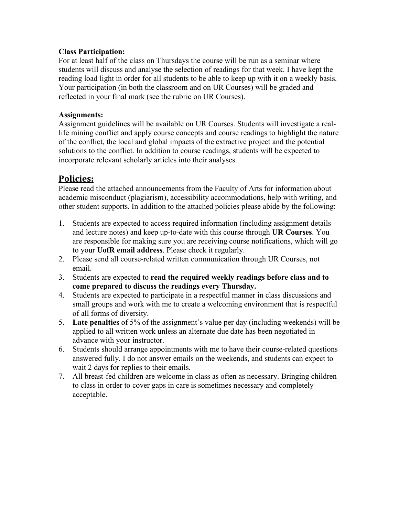#### **Class Participation:**

For at least half of the class on Thursdays the course will be run as a seminar where students will discuss and analyse the selection of readings for that week. I have kept the reading load light in order for all students to be able to keep up with it on a weekly basis. Your participation (in both the classroom and on UR Courses) will be graded and reflected in your final mark (see the rubric on UR Courses).

#### **Assignments:**

Assignment guidelines will be available on UR Courses. Students will investigate a reallife mining conflict and apply course concepts and course readings to highlight the nature of the conflict, the local and global impacts of the extractive project and the potential solutions to the conflict. In addition to course readings, students will be expected to incorporate relevant scholarly articles into their analyses.

# **Policies:**

Please read the attached announcements from the Faculty of Arts for information about academic misconduct (plagiarism), accessibility accommodations, help with writing, and other student supports. In addition to the attached policies please abide by the following:

- 1. Students are expected to access required information (including assignment details and lecture notes) and keep up-to-date with this course through **UR Courses**. You are responsible for making sure you are receiving course notifications, which will go to your **UofR email address**. Please check it regularly.
- 2. Please send all course-related written communication through UR Courses, not email.
- 3. Students are expected to **read the required weekly readings before class and to come prepared to discuss the readings every Thursday.**
- 4. Students are expected to participate in a respectful manner in class discussions and small groups and work with me to create a welcoming environment that is respectful of all forms of diversity.
- 5. **Late penalties** of 5% of the assignment's value per day (including weekends) will be applied to all written work unless an alternate due date has been negotiated in advance with your instructor.
- 6. Students should arrange appointments with me to have their course-related questions answered fully. I do not answer emails on the weekends, and students can expect to wait 2 days for replies to their emails.
- 7. All breast-fed children are welcome in class as often as necessary. Bringing children to class in order to cover gaps in care is sometimes necessary and completely acceptable.